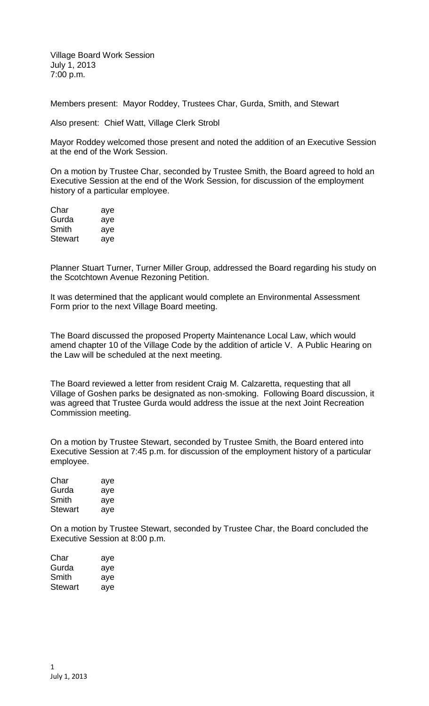Village Board Work Session July 1, 2013 7:00 p.m.

Members present: Mayor Roddey, Trustees Char, Gurda, Smith, and Stewart

Also present: Chief Watt, Village Clerk Strobl

Mayor Roddey welcomed those present and noted the addition of an Executive Session at the end of the Work Session.

On a motion by Trustee Char, seconded by Trustee Smith, the Board agreed to hold an Executive Session at the end of the Work Session, for discussion of the employment history of a particular employee.

| Char    | aye |
|---------|-----|
| Gurda   | aye |
| Smith   | aye |
| Stewart | aye |

Planner Stuart Turner, Turner Miller Group, addressed the Board regarding his study on the Scotchtown Avenue Rezoning Petition.

It was determined that the applicant would complete an Environmental Assessment Form prior to the next Village Board meeting.

The Board discussed the proposed Property Maintenance Local Law, which would amend chapter 10 of the Village Code by the addition of article V. A Public Hearing on the Law will be scheduled at the next meeting.

The Board reviewed a letter from resident Craig M. Calzaretta, requesting that all Village of Goshen parks be designated as non-smoking. Following Board discussion, it was agreed that Trustee Gurda would address the issue at the next Joint Recreation Commission meeting.

On a motion by Trustee Stewart, seconded by Trustee Smith, the Board entered into Executive Session at 7:45 p.m. for discussion of the employment history of a particular employee.

| Char    | aye |
|---------|-----|
| Gurda   | aye |
| Smith   | aye |
| Stewart | aye |

On a motion by Trustee Stewart, seconded by Trustee Char, the Board concluded the Executive Session at 8:00 p.m.

| Char    | aye |
|---------|-----|
| Gurda   | aye |
| Smith   | aye |
| Stewart | ave |